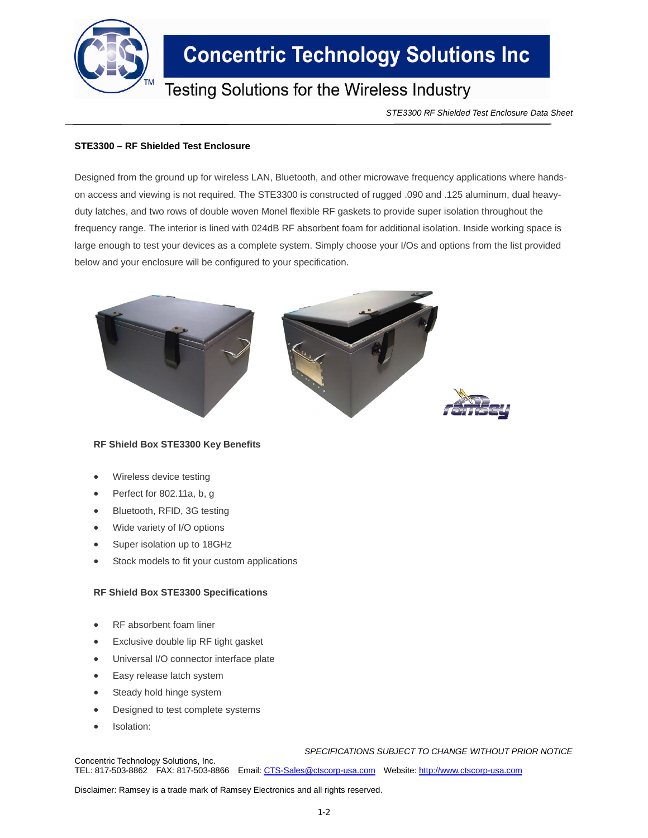

# **Concentric Technology Solutions Inc**

### **Testing Solutions for the Wireless Industry**

*STE3300 RF Shielded Test Enclosure Data Sheet*

#### **STE3300 – RF Shielded Test Enclosure**

Designed from the ground up for wireless LAN, Bluetooth, and other microwave frequency applications where handson access and viewing is not required. The STE3300 is constructed of rugged .090 and .125 aluminum, dual heavyduty latches, and two rows of double woven Monel flexible RF gaskets to provide super isolation throughout the frequency range. The interior is lined with 024dB RF absorbent foam for additional isolation. Inside working space is large enough to test your devices as a complete system. Simply choose your I/Os and options from the list provided below and your enclosure will be configured to your specification.



#### **RF Shield Box STE3300 Key Benefits**

- Wireless device testing
- Perfect for 802.11a, b, g
- Bluetooth, RFID, 3G testing
- Wide variety of I/O options
- Super isolation up to 18GHz
- Stock models to fit your custom applications

#### **RF Shield Box STE3300 Specifications**

- RF absorbent foam liner
- Exclusive double lip RF tight gasket
- Universal I/O connector interface plate
- Easy release latch system
- Steady hold hinge system
- Designed to test complete systems
- Isolation:

*SPECIFICATIONS SUBJECT TO CHANGE WITHOUT PRIOR NOTICE*

Concentric Technology Solutions, Inc. TEL: 817-503-8862 FAX: 817-503-8866 Email: CTS-Sales@ctscorp-usa.com Website: http://www.ctscorp-usa.com

Disclaimer: Ramsey is a trade mark of Ramsey Electronics and all rights reserved.